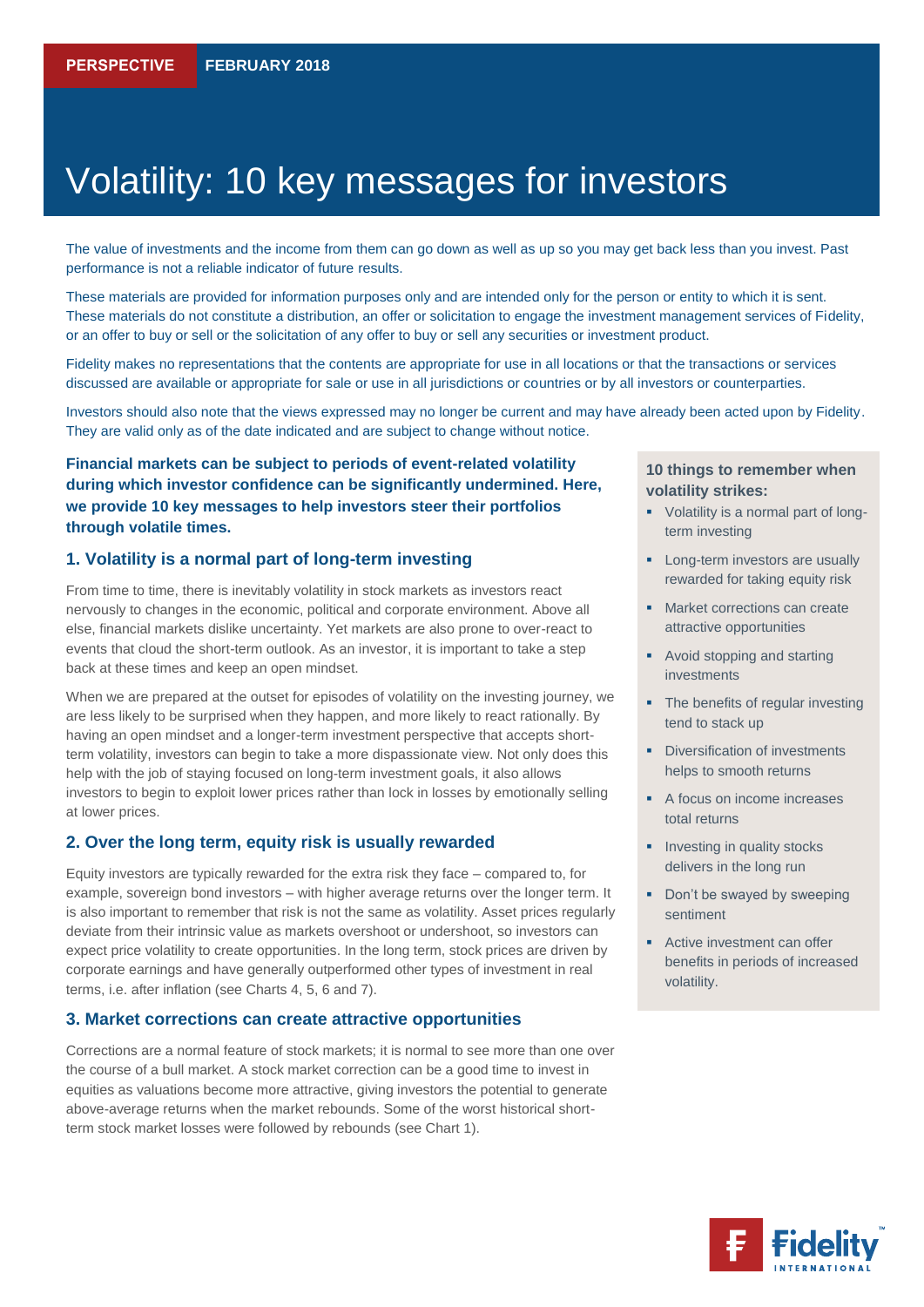# Volatility: 10 key messages for investors

The value of investments and the income from them can go down as well as up so you may get back less than you invest. Past performance is not a reliable indicator of future results.

These materials are provided for information purposes only and are intended only for the person or entity to which it is sent. These materials do not constitute a distribution, an offer or solicitation to engage the investment management services of Fidelity, or an offer to buy or sell or the solicitation of any offer to buy or sell any securities or investment product.

Fidelity makes no representations that the contents are appropriate for use in all locations or that the transactions or services discussed are available or appropriate for sale or use in all jurisdictions or countries or by all investors or counterparties.

Investors should also note that the views expressed may no longer be current and may have already been acted upon by Fidelity. They are valid only as of the date indicated and are subject to change without notice.

# **Financial markets can be subject to periods of event-related volatility during which investor confidence can be significantly undermined. Here, we provide 10 key messages to help investors steer their portfolios through volatile times.**

#### **1. Volatility is a normal part of long-term investing**

From time to time, there is inevitably volatility in stock markets as investors react nervously to changes in the economic, political and corporate environment. Above all else, financial markets dislike uncertainty. Yet markets are also prone to over-react to events that cloud the short-term outlook. As an investor, it is important to take a step back at these times and keep an open mindset.

When we are prepared at the outset for episodes of volatility on the investing journey, we are less likely to be surprised when they happen, and more likely to react rationally. By having an open mindset and a longer-term investment perspective that accepts shortterm volatility, investors can begin to take a more dispassionate view. Not only does this help with the job of staying focused on long-term investment goals, it also allows investors to begin to exploit lower prices rather than lock in losses by emotionally selling at lower prices.

#### **2. Over the long term, equity risk is usually rewarded**

Equity investors are typically rewarded for the extra risk they face – compared to, for example, sovereign bond investors – with higher average returns over the longer term. It is also important to remember that risk is not the same as volatility. Asset prices regularly deviate from their intrinsic value as markets overshoot or undershoot, so investors can expect price volatility to create opportunities. In the long term, stock prices are driven by corporate earnings and have generally outperformed other types of investment in real terms, i.e. after inflation (see Charts 4, 5, 6 and 7).

#### **3. Market corrections can create attractive opportunities**

Corrections are a normal feature of stock markets; it is normal to see more than one over the course of a bull market. A stock market correction can be a good time to invest in equities as valuations become more attractive, giving investors the potential to generate above-average returns when the market rebounds. Some of the worst historical shortterm stock market losses were followed by rebounds (see Chart 1).

#### **10 things to remember when volatility strikes:**

- Volatility is a normal part of longterm investing
- **Long-term investors are usually** rewarded for taking equity risk
- **Market corrections can create** attractive opportunities
- Avoid stopping and starting investments
- The benefits of regular investing tend to stack up
- **•** Diversification of investments helps to smooth returns
- A focus on income increases total returns
- **Investing in quality stocks** delivers in the long run
- Don't be swayed by sweeping sentiment
- Active investment can offer benefits in periods of increased volatility.

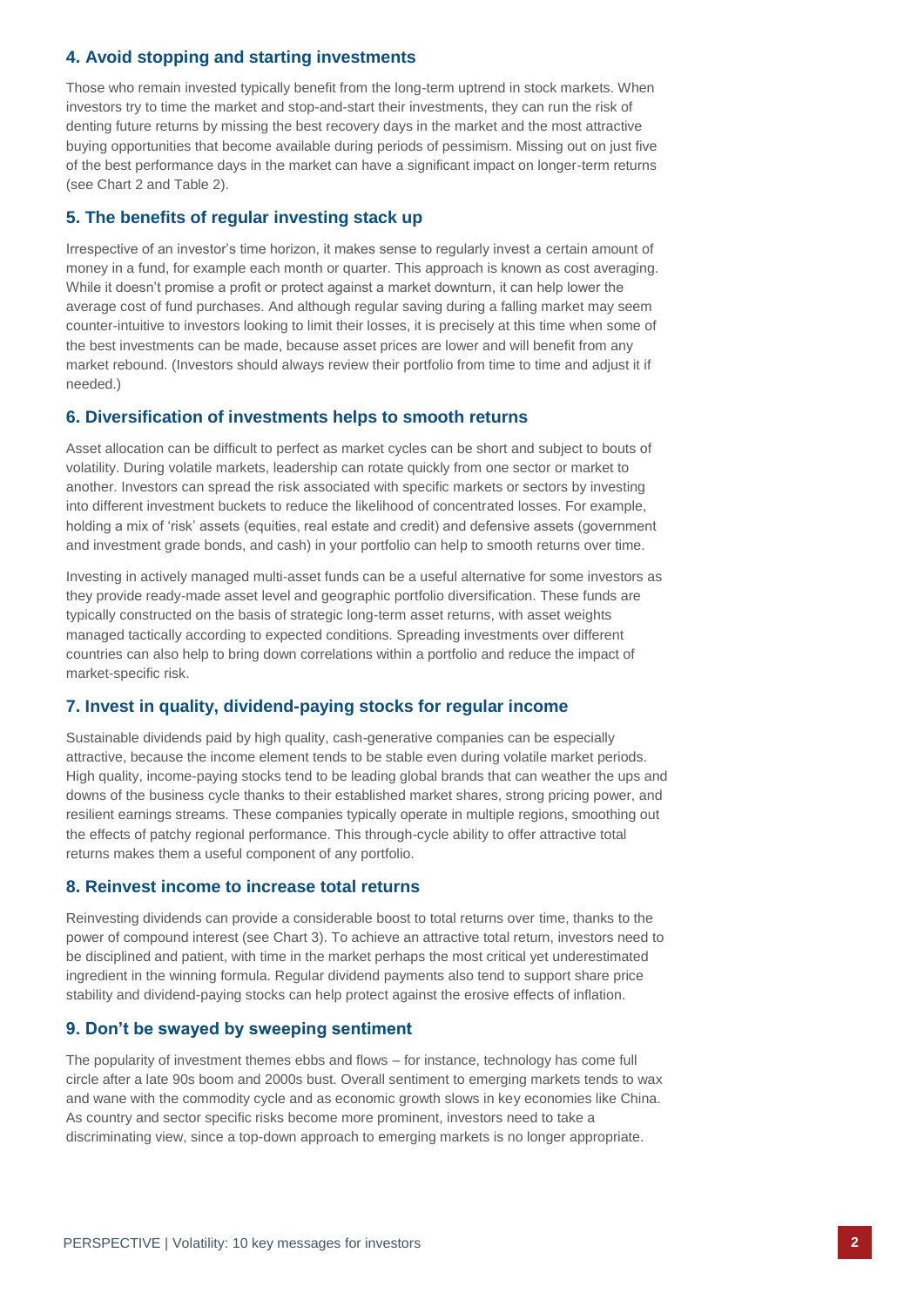# **4. Avoid stopping and starting investments**

Those who remain invested typically benefit from the long-term uptrend in stock markets. When investors try to time the market and stop-and-start their investments, they can run the risk of denting future returns by missing the best recovery days in the market and the most attractive buying opportunities that become available during periods of pessimism. Missing out on just five of the best performance days in the market can have a significant impact on longer-term returns (see Chart 2 and Table 2).

# **5. The benefits of regular investing stack up**

Irrespective of an investor's time horizon, it makes sense to regularly invest a certain amount of money in a fund, for example each month or quarter. This approach is known as cost averaging. While it doesn't promise a profit or protect against a market downturn, it can help lower the average cost of fund purchases. And although regular saving during a falling market may seem counter-intuitive to investors looking to limit their losses, it is precisely at this time when some of the best investments can be made, because asset prices are lower and will benefit from any market rebound. (Investors should always review their portfolio from time to time and adjust it if needed.)

#### **6. Diversification of investments helps to smooth returns**

Asset allocation can be difficult to perfect as market cycles can be short and subject to bouts of volatility. During volatile markets, leadership can rotate quickly from one sector or market to another. Investors can spread the risk associated with specific markets or sectors by investing into different investment buckets to reduce the likelihood of concentrated losses. For example, holding a mix of 'risk' assets (equities, real estate and credit) and defensive assets (government and investment grade bonds, and cash) in your portfolio can help to smooth returns over time.

Investing in actively managed multi-asset funds can be a useful alternative for some investors as they provide ready-made asset level and geographic portfolio diversification. These funds are typically constructed on the basis of strategic long-term asset returns, with asset weights managed tactically according to expected conditions. Spreading investments over different countries can also help to bring down correlations within a portfolio and reduce the impact of market-specific risk.

# **7. Invest in quality, dividend-paying stocks for regular income**

Sustainable dividends paid by high quality, cash-generative companies can be especially attractive, because the income element tends to be stable even during volatile market periods. High quality, income-paying stocks tend to be leading global brands that can weather the ups and downs of the business cycle thanks to their established market shares, strong pricing power, and resilient earnings streams. These companies typically operate in multiple regions, smoothing out the effects of patchy regional performance. This through-cycle ability to offer attractive total returns makes them a useful component of any portfolio.

#### **8. Reinvest income to increase total returns**

Reinvesting dividends can provide a considerable boost to total returns over time, thanks to the power of compound interest (see Chart 3). To achieve an attractive total return, investors need to be disciplined and patient, with time in the market perhaps the most critical yet underestimated ingredient in the winning formula. Regular dividend payments also tend to support share price stability and dividend-paying stocks can help protect against the erosive effects of inflation.

#### **9. Don't be swayed by sweeping sentiment**

The popularity of investment themes ebbs and flows – for instance, technology has come full circle after a late 90s boom and 2000s bust. Overall sentiment to emerging markets tends to wax and wane with the commodity cycle and as economic growth slows in key economies like China. As country and sector specific risks become more prominent, investors need to take a discriminating view, since a top-down approach to emerging markets is no longer appropriate.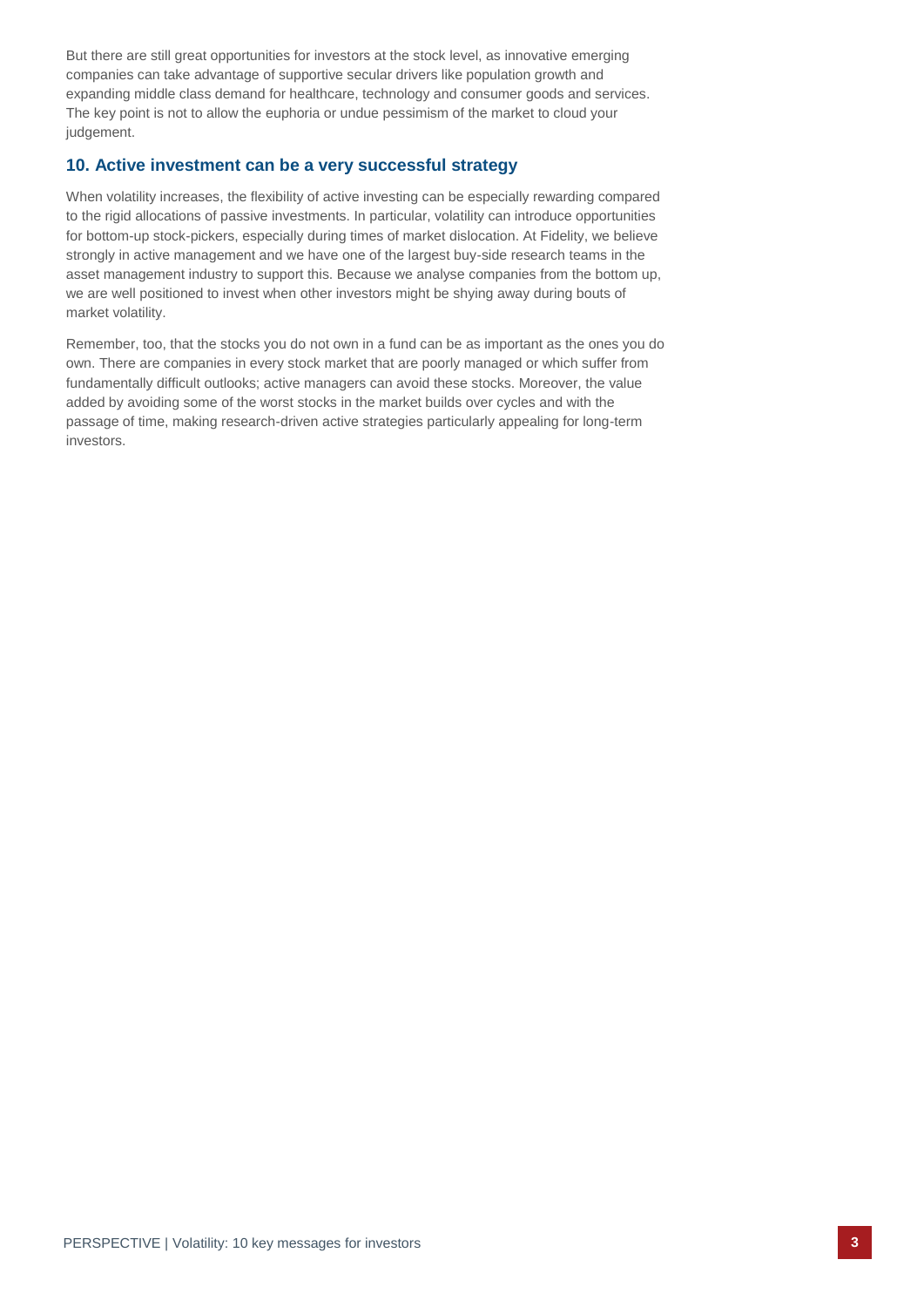But there are still great opportunities for investors at the stock level, as innovative emerging companies can take advantage of supportive secular drivers like population growth and expanding middle class demand for healthcare, technology and consumer goods and services. The key point is not to allow the euphoria or undue pessimism of the market to cloud your judgement.

# **10. Active investment can be a very successful strategy**

When volatility increases, the flexibility of active investing can be especially rewarding compared to the rigid allocations of passive investments. In particular, volatility can introduce opportunities for bottom-up stock-pickers, especially during times of market dislocation. At Fidelity, we believe strongly in active management and we have one of the largest buy-side research teams in the asset management industry to support this. Because we analyse companies from the bottom up, we are well positioned to invest when other investors might be shying away during bouts of market volatility.

Remember, too, that the stocks you do not own in a fund can be as important as the ones you do own. There are companies in every stock market that are poorly managed or which suffer from fundamentally difficult outlooks; active managers can avoid these stocks. Moreover, the value added by avoiding some of the worst stocks in the market builds over cycles and with the passage of time, making research-driven active strategies particularly appealing for long-term investors.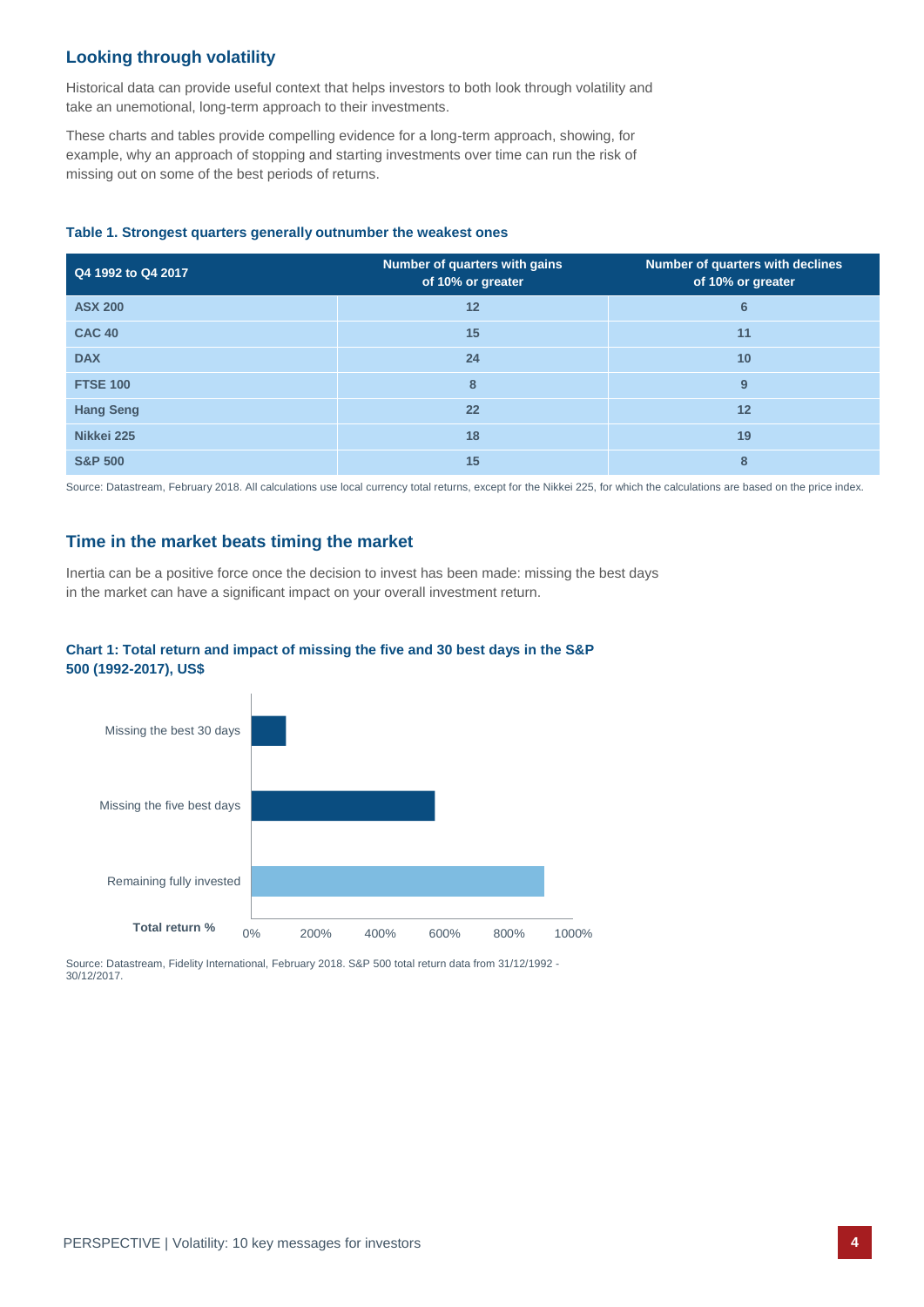# **Looking through volatility**

Historical data can provide useful context that helps investors to both look through volatility and take an unemotional, long-term approach to their investments.

These charts and tables provide compelling evidence for a long-term approach, showing, for example, why an approach of stopping and starting investments over time can run the risk of missing out on some of the best periods of returns.

#### **Table 1. Strongest quarters generally outnumber the weakest ones**

| Q4 1992 to Q4 2017 | Number of quarters with gains<br>of 10% or greater | Number of quarters with declines<br>of 10% or greater |
|--------------------|----------------------------------------------------|-------------------------------------------------------|
| <b>ASX 200</b>     | 12                                                 | 6                                                     |
| <b>CAC 40</b>      | 15                                                 | 11                                                    |
| <b>DAX</b>         | 24                                                 | 10                                                    |
| <b>FTSE 100</b>    | 8                                                  | 9                                                     |
| <b>Hang Seng</b>   | 22                                                 | 12                                                    |
| Nikkei 225         | 18                                                 | 19                                                    |
| <b>S&amp;P 500</b> | 15                                                 | 8                                                     |

Source: Datastream, February 2018. All calculations use local currency total returns, except for the Nikkei 225, for which the calculations are based on the price index.

### **Time in the market beats timing the market**

Inertia can be a positive force once the decision to invest has been made: missing the best days in the market can have a significant impact on your overall investment return.

#### **Chart 1: Total return and impact of missing the five and 30 best days in the S&P 500 (1992-2017), US\$**



Source: Datastream, Fidelity International, February 2018. S&P 500 total return data from 31/12/1992 - 30/12/2017.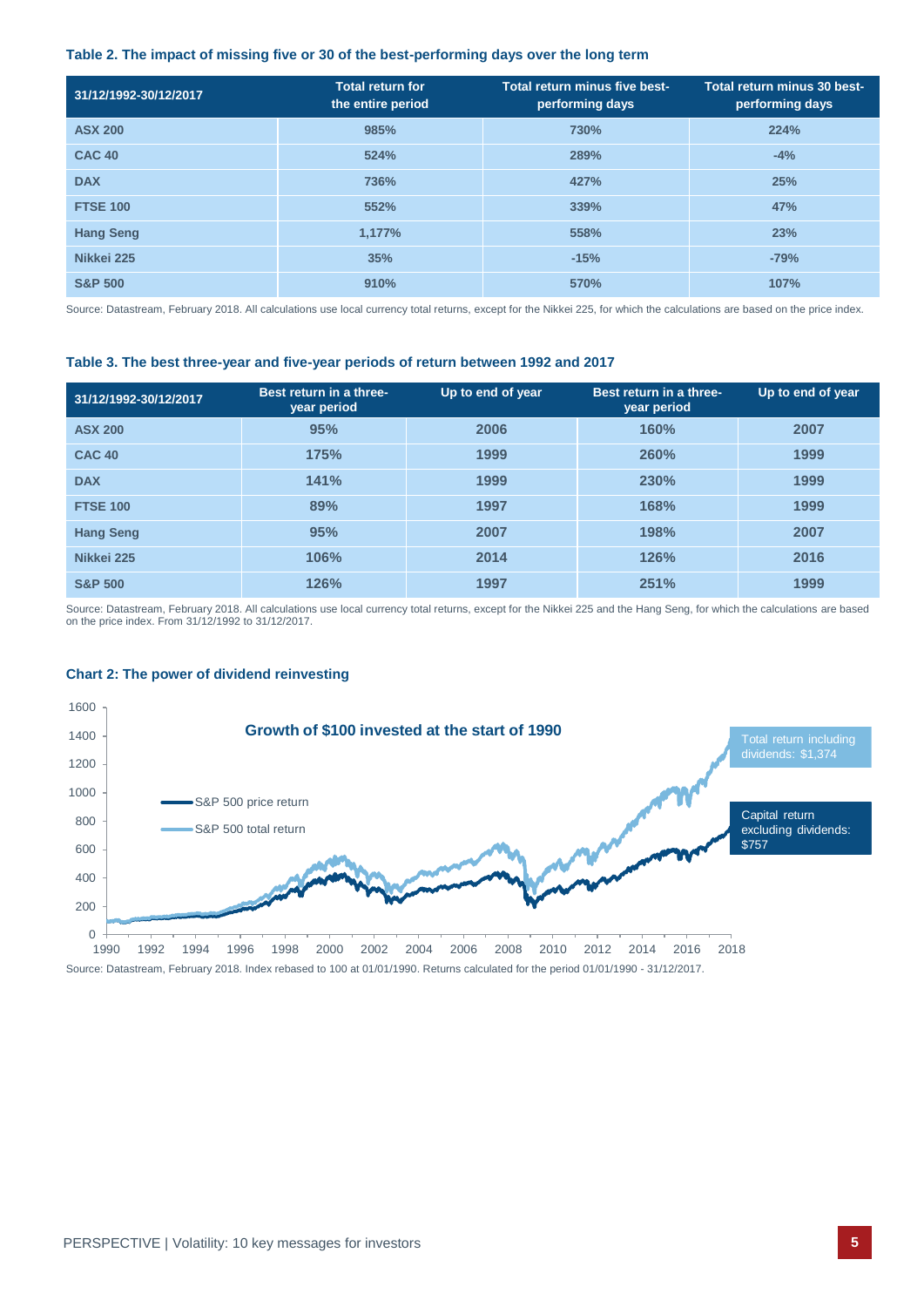#### **Table 2. The impact of missing five or 30 of the best-performing days over the long term**

| 31/12/1992-30/12/2017 | <b>Total return for</b><br>the entire period | Total return minus five best-<br>performing days | Total return minus 30 best-<br>performing days |
|-----------------------|----------------------------------------------|--------------------------------------------------|------------------------------------------------|
| <b>ASX 200</b>        | 985%                                         | 730%                                             | 224%                                           |
| <b>CAC 40</b>         | 524%                                         | 289%                                             | $-4%$                                          |
| <b>DAX</b>            | 736%                                         | 427%                                             | 25%                                            |
| <b>FTSE 100</b>       | 552%                                         | 339%                                             | 47%                                            |
| <b>Hang Seng</b>      | 1,177%                                       | 558%                                             | 23%                                            |
| Nikkei 225            | 35%                                          | $-15%$                                           | $-79%$                                         |
| <b>S&amp;P 500</b>    | 910%                                         | 570%                                             | 107%                                           |

Source: Datastream, February 2018. All calculations use local currency total returns, except for the Nikkei 225, for which the calculations are based on the price index.

#### **Table 3. The best three-year and five-year periods of return between 1992 and 2017**

| 31/12/1992-30/12/2017 | Best return in a three-<br>year period | Up to end of year | Best return in a three-<br>year period | Up to end of year |
|-----------------------|----------------------------------------|-------------------|----------------------------------------|-------------------|
| <b>ASX 200</b>        | 95%                                    | 2006              | 160%                                   | 2007              |
| <b>CAC 40</b>         | 175%                                   | 1999              | 260%                                   | 1999              |
| <b>DAX</b>            | 141%                                   | 1999              | 230%                                   | 1999              |
| <b>FTSE 100</b>       | 89%                                    | 1997              | 168%                                   | 1999              |
| <b>Hang Seng</b>      | 95%                                    | 2007              | 198%                                   | 2007              |
| Nikkei 225            | 106%                                   | 2014              | 126%                                   | 2016              |
| <b>S&amp;P 500</b>    | 126%                                   | 1997              | 251%                                   | 1999              |

Source: Datastream, February 2018. All calculations use local currency total returns, except for the Nikkei 225 and the Hang Seng, for which the calculations are based on the price index. From 31/12/1992 to 31/12/2017.

#### **Chart 2: The power of dividend reinvesting**

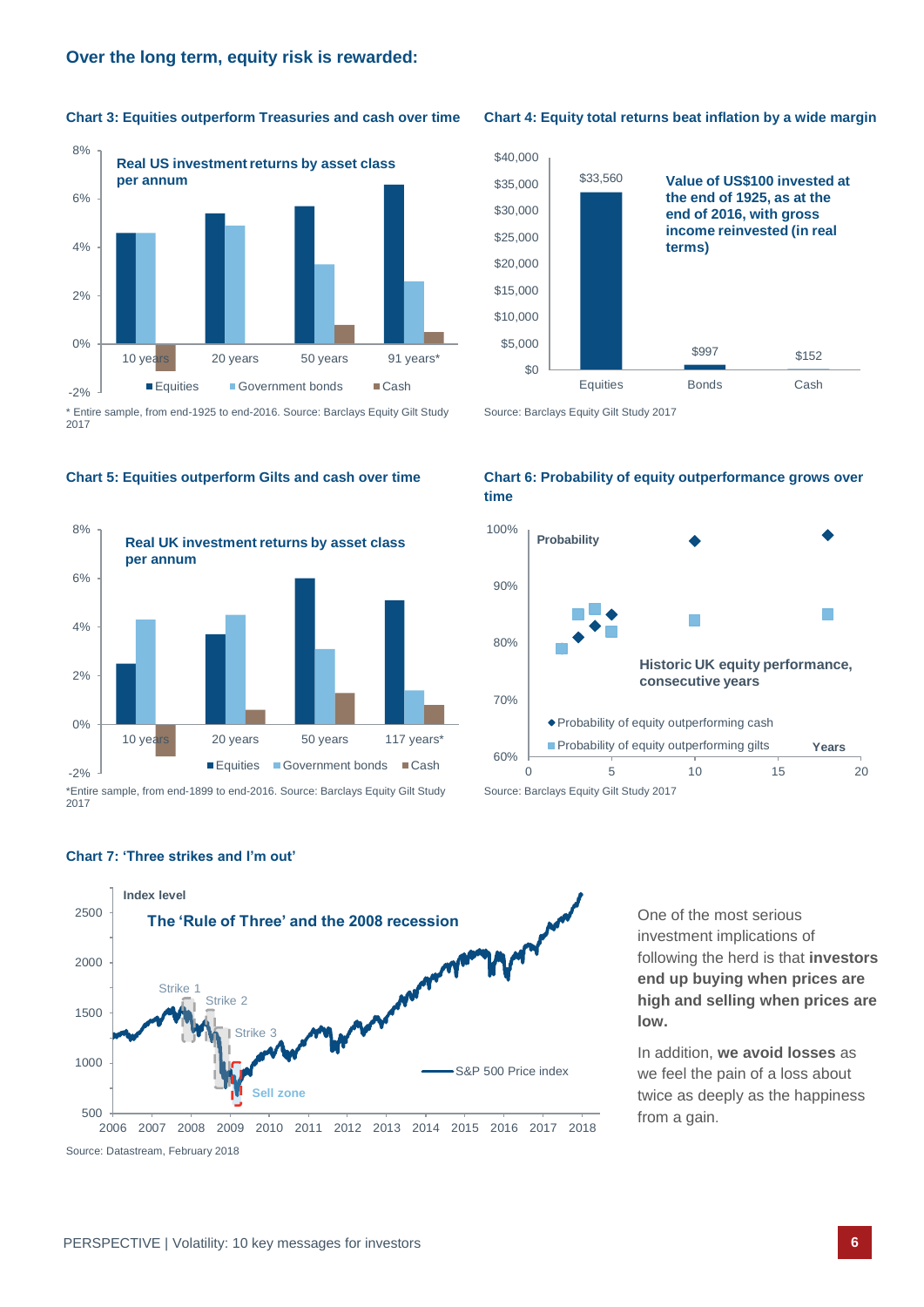**Chart 3: Equities outperform Treasuries and cash over time Chart 4: Equity total returns beat inflation by a wide margin Tips for using this placeholder**



\* Entire sample, from end-1925 to end-2016. Source: Barclays Equity Gilt Study 2017



2017







Source: Barclays Equity Gilt Study 2017





One of the most serious investment implications of following the herd is that **investors end up buying when prices are high and selling when prices are low.**

In addition, **we avoid losses** as we feel the pain of a loss about twice as deeply as the happiness from a gain.

# **Chart 7: 'Three strikes and I'm out'**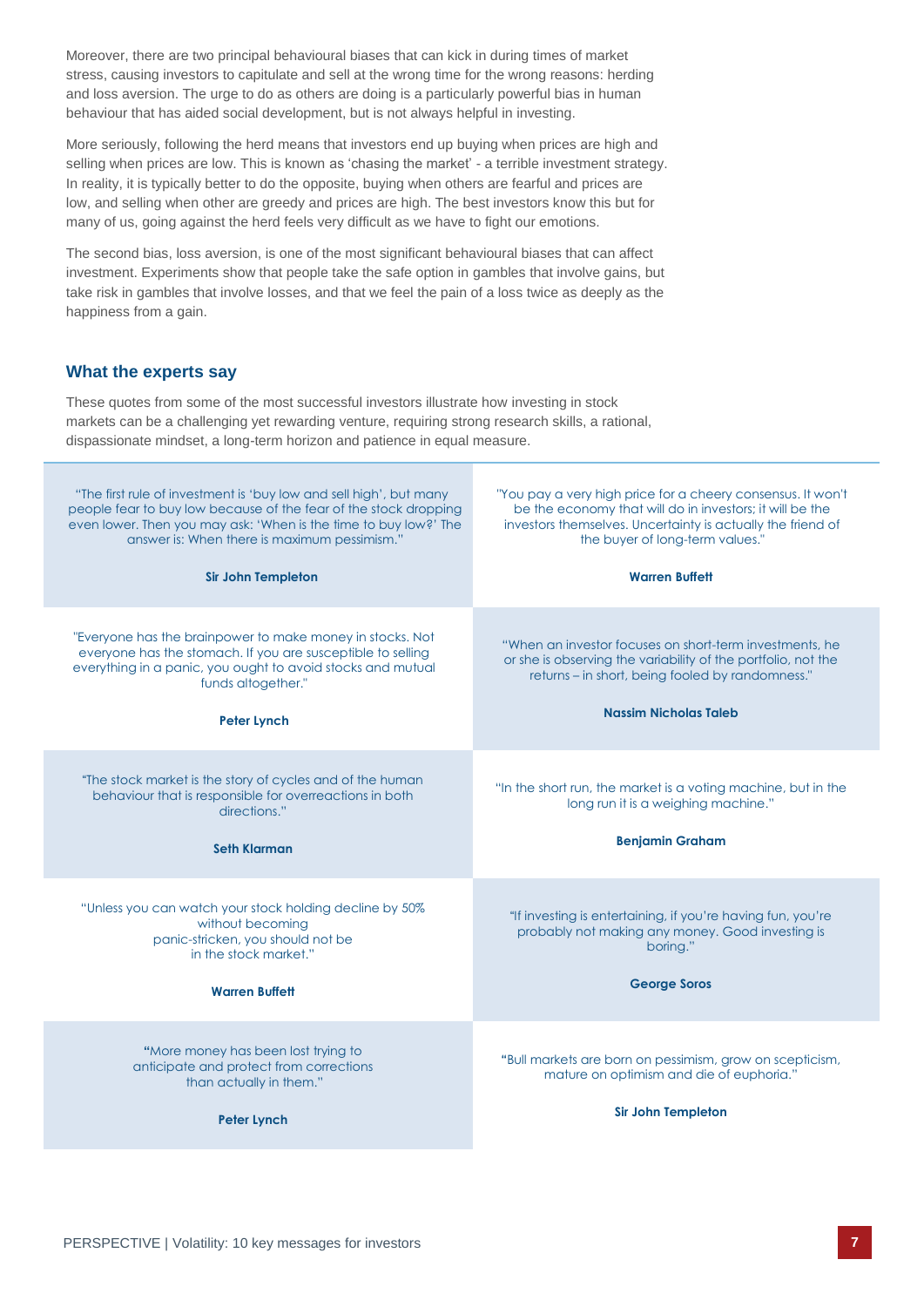Moreover, there are two principal behavioural biases that can kick in during times of market stress, causing investors to capitulate and sell at the wrong time for the wrong reasons: herding and loss aversion. The urge to do as others are doing is a particularly powerful bias in human behaviour that has aided social development, but is not always helpful in investing.

More seriously, following the herd means that investors end up buying when prices are high and selling when prices are low. This is known as 'chasing the market' - a terrible investment strategy. In reality, it is typically better to do the opposite, buying when others are fearful and prices are low, and selling when other are greedy and prices are high. The best investors know this but for many of us, going against the herd feels very difficult as we have to fight our emotions.

The second bias, loss aversion, is one of the most significant behavioural biases that can affect investment. Experiments show that people take the safe option in gambles that involve gains, but take risk in gambles that involve losses, and that we feel the pain of a loss twice as deeply as the happiness from a gain.

# **What the experts say**

These quotes from some of the most successful investors illustrate how investing in stock markets can be a challenging yet rewarding venture, requiring strong research skills, a rational, dispassionate mindset, a long-term horizon and patience in equal measure.

| "The first rule of investment is 'buy low and sell high', but many<br>people fear to buy low because of the fear of the stock dropping<br>even lower. Then you may ask: 'When is the time to buy low?' The<br>answer is: When there is maximum pessimism."<br><b>Sir John Templeton</b> | "You pay a very high price for a cheery consensus. It won't<br>be the economy that will do in investors; it will be the<br>investors themselves. Uncertainty is actually the friend of<br>the buyer of long-term values."<br><b>Warren Buffett</b> |
|-----------------------------------------------------------------------------------------------------------------------------------------------------------------------------------------------------------------------------------------------------------------------------------------|----------------------------------------------------------------------------------------------------------------------------------------------------------------------------------------------------------------------------------------------------|
| "Everyone has the brainpower to make money in stocks. Not<br>everyone has the stomach. If you are susceptible to selling<br>everything in a panic, you ought to avoid stocks and mutual<br>funds altogether."<br><b>Peter Lynch</b>                                                     | "When an investor focuses on short-term investments, he<br>or she is observing the variability of the portfolio, not the<br>returns - in short, being fooled by randomness."<br><b>Nassim Nicholas Taleb</b>                                       |
| "The stock market is the story of cycles and of the human<br>behaviour that is responsible for overreactions in both<br>directions."<br>Seth Klarman                                                                                                                                    | "In the short run, the market is a voting machine, but in the<br>long run it is a weighing machine."<br><b>Benjamin Graham</b>                                                                                                                     |
| "Unless you can watch your stock holding decline by 50%<br>without becoming<br>panic-stricken, you should not be<br>in the stock market."<br><b>Warren Buffett</b>                                                                                                                      | "If investing is entertaining, if you're having fun, you're<br>probably not making any money. Good investing is<br>boring."<br><b>George Soros</b>                                                                                                 |
| "More money has been lost trying to<br>anticipate and protect from corrections<br>than actually in them."<br><b>Peter Lynch</b>                                                                                                                                                         | "Bull markets are born on pessimism, grow on scepticism,<br>mature on optimism and die of euphoria."<br><b>Sir John Templeton</b>                                                                                                                  |